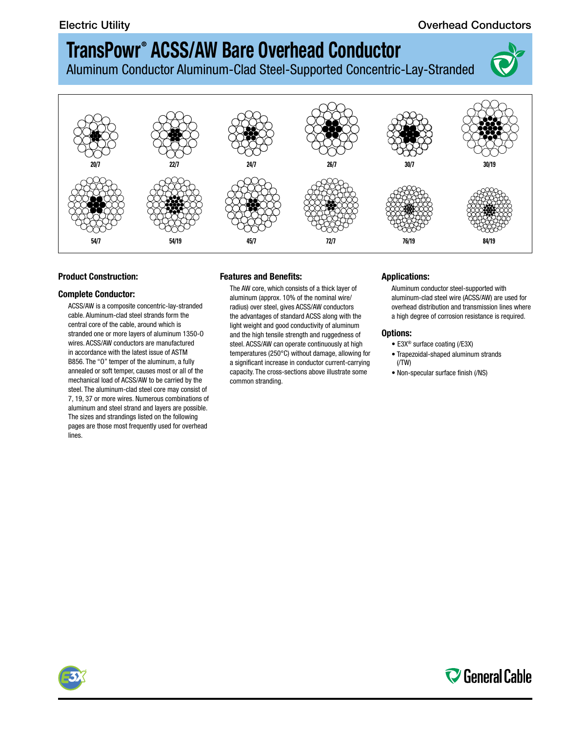### Electric Utility **Conductors Conductors Conductors Conductors**

# **TransPowr ® ACSS/AW Bare Overhead Conductor**

Aluminum Conductor Aluminum-Clad Steel-Supported Concentric-Lay-Stranded





### **Product Construction:**

#### **Complete Conductor:**

ACSS/AW is a composite concentric-lay-stranded cable. Aluminum-clad steel strands form the central core of the cable, around which is stranded one or more layers of aluminum 1350-O wires. ACSS/AW conductors are manufactured in accordance with the latest issue of ASTM B856. The "O" temper of the aluminum, a fully annealed or soft temper, causes most or all of the mechanical load of ACSS/AW to be carried by the steel. The aluminum-clad steel core may consist of 7, 19, 37 or more wires. Numerous combinations of aluminum and steel strand and layers are possible. The sizes and strandings listed on the following pages are those most frequently used for overhead lines.

### **Features and Benefits:**

The AW core, which consists of a thick layer of aluminum (approx. 10% of the nominal wire/ radius) over steel, gives ACSS/AW conductors the advantages of standard ACSS along with the light weight and good conductivity of aluminum and the high tensile strength and ruggedness of steel. ACSS/AW can operate continuously at high temperatures (250°C) without damage, allowing for a significant increase in conductor current-carrying capacity. The cross-sections above illustrate some common stranding.

#### **Applications:**

Aluminum conductor steel-supported with aluminum-clad steel wire (ACSS/AW) are used for overhead distribution and transmission lines where a high degree of corrosion resistance is required.

#### **Options:**

- E3X® surface coating (/E3X)
- Trapezoidal-shaped aluminum strands (/TW)
- Non-specular surface finish (/NS)



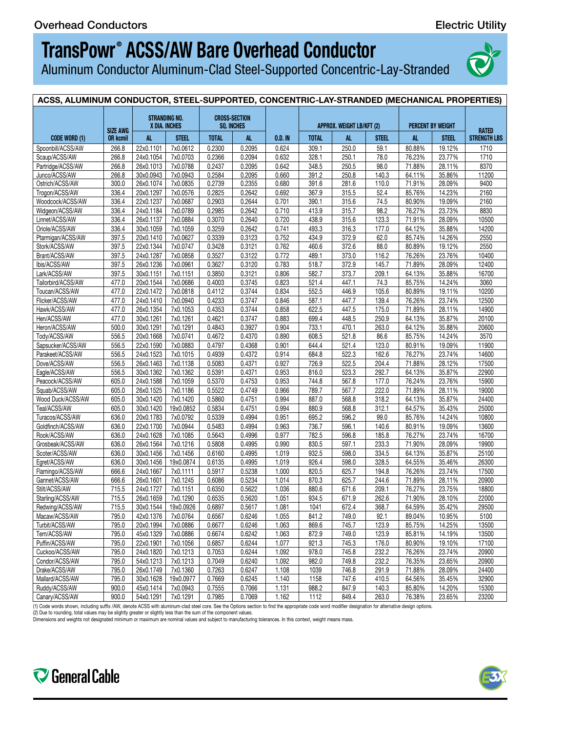Aluminum Conductor Aluminum-Clad Steel-Supported Concentric-Lay-Stranded



#### ACSS, ALUMINUM CONDUCTOR, STEEL-SUPPORTED, CONCENTRIC-LAY-STRANDED (MECHANICAL PROPERTIES) **CODE WORD (1) SIZE AWG OR kcmil STRANDING NO. X DIA. INCHES CROSS-SECTION SQ. INCHES O.D. IN APPROX. WEIGHT LB/KFT (2) PERCENT BY WEIGHT RATED STRENGTH LBS** AL | STEEL | TOTAL | AL | O.D.IN | TOTAL | AL | STEEL | AL | STEEL |STRENGTH-LBS | Spoonbill/ACSS/AW | 266.8 | 22x0.1101 | 7x0.0612 | 0.2300 | 0.2095 | 0.624 | 309.1 | 250.0 | 59.1 | 80.88% | 19.12% | 1710 | Scaup/ACSS/AW | 266.8 | 24x0.1054 | 7x0.0703 | 0.2366 | 0.2094 | 0.632 | 328.1 | 250.1 | 78.0 | 76.23% | 23.77% | 1710 | Partridge/ACSS/AW | 266.8 |26x0.1013 | 7x0.0788 | 0.2437 | 0.2095 | 0.642 | 348.5 | 250.5 | 98.0 | 71.88% | 28.11% | 8370 | Junco/ACSS/AW | 266.8 |30x0.0943 | 7x0.0943 | 0.2584 | 0.2095 | 0.660 | 391.2 | 250.8 | 140.3 | 64.11% | 35.86% | 11200 | Ostrich/ACSS/AW | 300.0 | 26x0.1074 | 7x0.0835 | 0.2739 | 0.2355 | 0.680 | 391.6 | 281.6 | 110.0 | 71.91% | 28.09% | 9400 | Trogon/ACSS/AW | 336.4 | 20x0.1297 | 7x0.0576 | 0.2825 | 0.2642 | 0.692 | 367.9 | 315.5 | 52.4 | 85.76% | 14.23% | 2160 | Woodcock/ACSS/AW | 336.4 | 22x0.1237 | 7x0.0687 | 0.2903 | 0.2644 | 0.701 | 390.1 | 315.6 | 74.5 | 80.90% | 19.09% | 2160 | Widgeon/ACSS/AW | 336.4 |24x0.1184 |7x0.0789 | 0.2985 | 0.2642 | 0.710 | 413.9 | 315.7 | 98.2 | 76.27% | 23.73% | 8830 | Linnet/ACSS/AW | 336.4 | 26x0.1137 | 7x0.0884 | 0.3070 | 0.2640 | 0.720 | 438.9 | 315.6 | 123.3 | 71.91% | 28.09% | 10500 | Oriole/ACSS/AW | 336.4 | 30x0.1059 | 7x0.1059 | 0.3259 | 0.2642 | 0.741 | 493.3 | 316.3 | 177.0 | 64.12% | 35.88% | 14200 | Ptarmigan/ACSS/AW | 397.5 |20x0.1410 | /x0.0627 | 0.3339 | 0.3123 | 0.752 | 434.9 | 372.9 | 62.0 | 85.74% | 14.26% | 2550 | Stork/ACSS/AW | 397.5 | 22x0.1344 | /x0.0/47 | 0.3428 | 0.3121 | 0.762 | 460.6 | 372.6 | 88.0 | 80.89% | 19.12% | 2550 | Brant/ACSS/AW | 397.5 | 24x0.1287 | 7x0.0858 | 0.3527 | 0.3122 | 0.772 | 489.1 | 373.0 | 116.2 | 76.26% | 23.76% | 10400 | Ibis/ACSS/AW | 397.5 | 26x0.1236 | 7x0.0961 | 0.3627 | 0.3120 | 0.783 | 518.7 | 372.9 | 145.7 | 71.89% | 28.09% | 12400 Lark/ACSS/AW | 397.5 |30x0.1151 | 7x0.1151 | 0.3850 | 0.3121 | 0.806 | 582.7 | 373.7 | 209.1 | 64.13% | 35.88% | 16700 Tailorbird/ACSS/AW | 477.0 |20x0.1544 |7x0.0686 | 0.4003 | 0.3745 | 0.823 | 521.4 | 447.1 | 74.3 | 85.75% | 14.24% | 3060 | Toucan/ACSS/AW | 477.0 |22x0.1472 |7x0.0818 | 0.4112 | 0.3744 | 0.834 | 552.5 | 446.9 | 105.6 | 80.89% | 19.11% | 10200 | Flicker/ACSS/AW | 477.0 | 24x0.1410 | 7x0.0940 | 0.4233 | 0.3747 | 0.846 | 587.1 | 447.7 | 139.4 | 76.26% | 23.74% | 12500 | Hawk/ACSS/AW | 477.0 |26x0.1354 |7x0.1053 | 0.4353 | 0.3744 | 0.858 | 622.5 | 447.5 | 175.0 | 71.89% | 28.11% | 14900 Hen/ACSS/AW | 477.0 | 30x0.1261 | 7x0.1261 | 0.4621 | 0.3747 | 0.883 | 699.4 | 448.5 | 250.9 | 64.13% | 35.87% | 20100 | Heron/ACSS/AW | 500.0 |30x0.1291 | 7x0.1291 | 0.4843 | 0.3927 | 0.904 | 733.1 | 470.1 | 263.0 | 64.12% | 35.88% | 20600 | Tody/ACSS/AW 556.5 20x0.1668 7x0.0741 0.4672 0.4370 0.890 608.5 321.8 86.6 85.75% 14.24% 3570 1.572 1. Sapsucker/ACSS/AW | 556.5 |22x0.1590 | /x0.0883 | 0.4/97 | 0.4368 | 0.901 | 644.4 | 521.4 | 123.0 | 80.91% | 19.09% | 11900 | Parakeet/ACSS/AW | 556.5 |24x0.1523 | /x0.1015 | 0.4939 | 0.4372 | 0.914 | 684.8 | 522.3 | 162.6 | /6.27% | 23.74% | 14600 | Dove/ACSS/AW | 556.5 | 26x0.1463 | /x0.1138 | 0.5083 | 0.43/1 | 0.927 | /26.9 | 522.5 | 204.4 | /1.88% | 28.12% | 1/500 | Eagle/ACSS/AW | 556.5 | 30x0.1362 | /x0.1362 | 0.5391 | 0.43/1 | 0.953 | 816.0 | 523.3 | 292.7 | 64.13% | 35.87% | 22900 | Peacock/ACSS/AW | 605.0 | 24x0.1588 | /x0.1059 | 0.5370 | 0.4753 | 0.953 | 744.8 | 567.8 | 177.0 | 76.24% | 23.76% | 15900 | Squab/ACSS/AW | 605.0 |26x0.1525 |7x0.1186 | 0.5522 | 0.4749 | 0.966 | 789.7 | 567.7 | 222.0 | 71.89% | 28.11% | 19000 Wood Duck/ACSS/AW | 605.0 | 30x0.1420 | 7x0.1420 | 0 0.5860 | 0.4751 | 0.994 | 887.0 | 568.8 | 318.2 | 64.13% | 35.87% | 24400 | Teal/ACSS/AW | 605.0 | 30x0.1420 | 19x0.0852 | 0.5834 | 0.4751 | 0.994 | 880.9 | 568.8 | 312.1 | 64.57% | 35.43% | 25000 | Turacos/ACSS/AW | 636.0 | 20x0.1783 | 7x0.0792 | 0.5339 | 0.4994 | 0.951 | 695.2 | 596.2 | 99.0 | 85.76% | 14.24% | 10800 | Goldfinch/ACSS/AW | 636.0 | 22x0.1700 | 7x0.0944 | 0.5483 | 0.4994 | 0.963 | 736.7 | 596.1 | 140.6 | 80.91% | 19.09% | 13600 | Rook/ACSS/AW | 636.0 |24x0.1628 |7x0.1085 | 0.5643 | 0.4996 | 0.977 | 782.5 | 596.8 | 185.8 | 76.27% | 23.74% | 16700 | Grosbeak/ACSS/AW | 636.0 | 26x0.1564 | 7x0.1216 | 0.5808 | 0.4995 | 0.990 | 830.5 | 597.1 | 233.3 | 71.90% | 28.09% | 19900 | Scoter/ACSS/AW | 636.0 | 30x0.1456 | /x0.1456 | 0.6160 | 0.4995 | 1.019 | 932.5 | 598.0 | 334.5 | 64.13% | 35.87% | 25100 | Egret/ACSS/AW | 636.0 |30x0.1456 |19x0.08/4 | 0.6135 | 0.4995 | 1.019 | 926.4 | 598.0 | 328.5 | 64.55% | 35.46% | 26300 | Hamingo/ACSS/AW | 666.6 |24x0.1667 | /x0.1111 | 0.5917 | 0.5238 | 1.000 | 820.5 | 625.7 | 194.8 | /6.26% | 23.74% | 17500 | Gannet/ACSS/AW | 666.6 |26x0.1601 | /x0.1245 | 0.6086 | 0.5234 | 1.014 | 870.3 | 625.7 | 244.6 | /1.89% | 28.11% | 20900 | Stilt/ACSS/AW | /15.5 | 24x0.1/27 | /x0.1151 | 0.6350 | 0.5622 | 1.036 | 880.6 | 6/1.6 | 209.1 | /6.27% | 23.75% | 18800 | Starling/ACSS/AW | 715.5 |26x0.1659 | 7x0.1290 | 0.6535 | 0.5620 | 1.051 | 934.5 | 671.9 | 262.6 | 71.90% | 28.10% | 22000 | Redwing/ACSS/AW | 715.5 |30x0.1544 |19x0.0926 | 0.6897 | 0.5617 | 1.081 | 1041 | 672.4 | 368.7 | 64.59% | 35.42% | 29500 | Macaw/ACSS/AW | 795.0 |42x0.1376 | 7x0.0764 | 0.6567 | 0.6246 | 1.055 | 841.2 | 749.0 | 92.1 | 89.04% | 10.95% | 5100 Turbit/ACSS/AW | 795.0 | 20x0.1994 | 7x0.0886 | 0.6677 | 0.6246 | 1.063 | 869.6 | 745.7 | 123.9 | 85.75% | 14.25% | 13500 | Tern/ACSS/AW | 795.0 |45x0.1329 |7x0.0886 | 0.6674 | 0.6242 | 1.063 | 872.9 | 749.0 | 123.9 | 85.81% | 14.19% | 13500 | Puffin/ACSS/AW | 795.0 | 22x0.1901 | 7x0.1056 | 0.6857 | 0.6244 | 1.077 | 921.3 | 745.3 | 176.0 | 80.90% | 19.10% | 17100 | Cuckoo/ACSS/AW | 795.0 | 24x0.1820 | 7x0.1213 | 0.7053 | 0.6244 | 1.092 | 978.0 | 745.8 | 232.2 | 76.26% | 23.74% | 20900 | Condor/ACSS/AW | /95.0 | 54x0.1213 | /x0.1213 | 0.7049 | 0.6240 | 1.092 | 982.0 | /49.8 | 232.2 | /6.35% | 23.65% | 20900 | Drake/ACSS/AW | /95.0 |26x0.1749 | /x0.1360 | 0.7263 | 0.6247 | 1.108 | 1039 | /46.8 | 291.9 | /1.88% | 28.09% | 24400 | Mallard/ACSS/AW | /95.0 |30x0.1628 |19x0.09// | 0./669 | 0.6245 | 1.140 | 1158 | /4/.6 | 410.5 | 64.56% | 35.45% | 32900 | Ruddy/ACSS/AW | 900.0 |45x0.1414 | /x0.0943 | 0.7055 | 0.7066 | 1.131 | 988.2 | 847.9 | 140.3 | 85.80% | 14.20% | 15300

(1) Code words shown, including suffix /AW, denote ACSS with aluminum-clad steel core. See the Options section to find the appropriate code word modifier designation for alternative design options.

(2) Due to rounding, total values may be slightly greater or slightly less than the sum of the component values

Dimensions and weights not designated minimum or maximum are nominal values and subject to manufacturing tolerances. In this context, weight means mass.





Canary/ACSS/AW | 900.0 | 54x0.1291 | 7x0.1291 | 0.7985 | 0.7069 | 1.162 | 1112 | 849.4 | 263.0 | 76.38% | 23.65% | 23200 |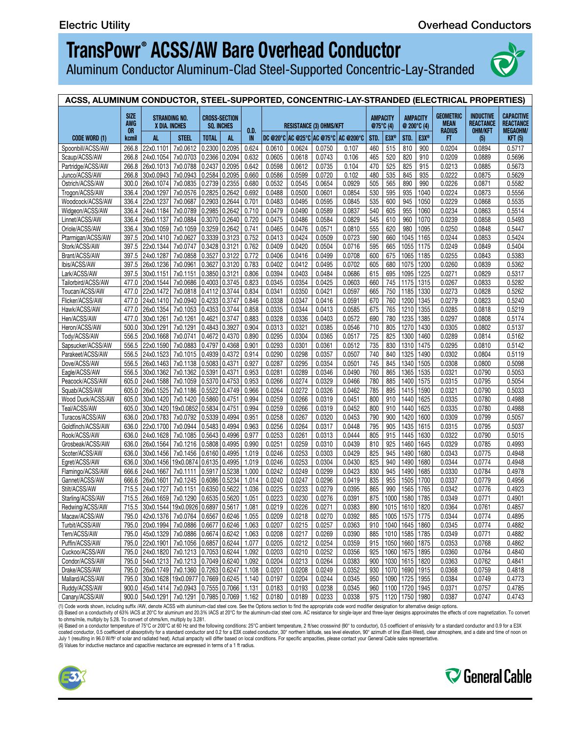Aluminum Conductor Aluminum-Clad Steel-Supported Concentric-Lay-Stranded



| ACSS, ALUMINUM CONDUCTOR, STEEL-SUPPORTED, CONCENTRIC-LAY-STRANDED (ELECTRICAL PROPERTIES)                                                                                                               |  |  |  |  |  |  |  |  |  |  |  |  |
|----------------------------------------------------------------------------------------------------------------------------------------------------------------------------------------------------------|--|--|--|--|--|--|--|--|--|--|--|--|
| SIZE<br>AWG<br><b>OR</b>                                                                                                                                                                                 |  |  |  |  |  |  |  |  |  |  |  |  |
| kcmil<br><b>CODE WORD (1)</b>                                                                                                                                                                            |  |  |  |  |  |  |  |  |  |  |  |  |
| 266.8 22x0.1101 7x0.0612 0.2300 0.2095 0.624 0.0610 0.0624 0.0750<br>Spoonbill/ACSS/AW                                                                                                                   |  |  |  |  |  |  |  |  |  |  |  |  |
| 266.8 24x0.1054 7x0.0703 0.2366 0.2094 0.632 0.0605 0.0618 0.0743 0.106 465 520 820 910<br>Scaup/ACSS/AW                                                                                                 |  |  |  |  |  |  |  |  |  |  |  |  |
| 266.8 26x0.1013 7x0.0788 0.2437 0.2095 0.642 0.0598 0.0612 0.0735 0.104 470 525 825 915<br>Partridge/ACSS/AW                                                                                             |  |  |  |  |  |  |  |  |  |  |  |  |
| 266.8 30x0.0943 7x0.0943 0.2584 0.2095 0.660 0.0586 0.0599 0.0720 0.102 480 535 845 935<br>Junco/ACSS/AW                                                                                                 |  |  |  |  |  |  |  |  |  |  |  |  |
| 300.0 26x0.1074 7x0.0835 0.2739 0.2355 0.680 0.0532 0.0545 0.0654 0.0929 505 565 890 990<br>Ostrich/ACSS/AW<br>336.4 20x0.1297 7x0.0576 0.2825 0.2642 0.692 0.0488 0.0500 0.0601 0.0854 530 595 935 1040 |  |  |  |  |  |  |  |  |  |  |  |  |
| Trogon/ACSS/AW<br>336.4 22x0.1237 7x0.0687 0.2903 0.2644 0.701 0.0483 0.0495 0.0595 0.0845 535 600 945 1050<br>Woodcock/ACSS/AW                                                                          |  |  |  |  |  |  |  |  |  |  |  |  |
| 336.4 24x0.1184 7x0.0789 0.2985 0.2642 0.710 0.0479 0.0490 0.0589 0.0837 540 605 955 1060<br>Widgeon/ACSS/AW                                                                                             |  |  |  |  |  |  |  |  |  |  |  |  |
| 336.4 26x0.1137 7x0.0884 0.3070 0.2640 0.720 0.0475 0.0486<br>Linnet/ACSS/AW                                                                                                                             |  |  |  |  |  |  |  |  |  |  |  |  |
| 336.4 30x0.1059 7x0.1059 0.3259 0.2642 0.741 0.0465 0.0476 0.0571 0.0810 555 620 980 1095<br>Oriole/ACSS/AW                                                                                              |  |  |  |  |  |  |  |  |  |  |  |  |
| 397.5 20x0.1410 7x0.0627 0.3339 0.3123 0.752 0.0413 0.0424 0.0509 0.0723 590 660 1045 1165<br>Ptarmigan/ACSS/AW                                                                                          |  |  |  |  |  |  |  |  |  |  |  |  |
| 397.5 22x0.1344 7x0.0747 0.3428 0.3121 0.762 0.0409<br>Stork/ACSS/AW                                                                                                                                     |  |  |  |  |  |  |  |  |  |  |  |  |
| 397.5 24x0.1287 7x0.0858 0.3527 0.3122 0.772 0.0406 0.0416 0.0499 0.0708 600 675 1065 1185<br>Brant/ACSS/AW                                                                                              |  |  |  |  |  |  |  |  |  |  |  |  |
| 397.5 26x0.1236 7x0.0961 0.3627 0.3120 0.783 0.0402<br>Ibis/ACSS/AW                                                                                                                                      |  |  |  |  |  |  |  |  |  |  |  |  |
| 397.5 30x0.1151 7x0.1151 0.3850 0.3121 0.806 0.0394 0.0403 0.0484 0.0686 615 695 1095 1225<br>Lark/ACSS/AW                                                                                               |  |  |  |  |  |  |  |  |  |  |  |  |
| 477.0 20x0.1544 7x0.0686 0.4003 0.3745 0.823 0.0345<br>Tailorbird/ACSS/AW                                                                                                                                |  |  |  |  |  |  |  |  |  |  |  |  |
| 477.0 22x0.1472 7x0.0818 0.4112 0.3744 0.834 0.0341<br>Toucan/ACSS/AW                                                                                                                                    |  |  |  |  |  |  |  |  |  |  |  |  |
| 477.0 24x0.1410 7x0.0940 0.4233 0.3747 0.846 0.0338<br>Flicker/ACSS/AW                                                                                                                                   |  |  |  |  |  |  |  |  |  |  |  |  |
| 477.0 26x0.1354 7x0.1053 0.4353 0.3744 0.858 0.0335<br>Hawk/ACSS/AW                                                                                                                                      |  |  |  |  |  |  |  |  |  |  |  |  |
| 477.0 30x0.1261 7x0.1261 0.4621 0.3747 0.883 0.0328 0.0336 0.0403 0.0572 690 780 1235 1385<br>Hen/ACSS/AW                                                                                                |  |  |  |  |  |  |  |  |  |  |  |  |
| 500.0 30x0.1291 7x0.1291 0.4843 0.3927 0.904 0.0313 0.0321 0.0385 0.0546 710 805 1270 1430<br>Heron/ACSS/AW                                                                                              |  |  |  |  |  |  |  |  |  |  |  |  |
| 556.5 20x0.1668 7x0.0741 0.4672 0.4370 0.890 0.0295<br>Tody/ACSS/AW                                                                                                                                      |  |  |  |  |  |  |  |  |  |  |  |  |
| 556.5 22x0.1590 7x0.0883 0.4797 0.4368 0.901 0.0293<br>Sapsucker/ACSS/AW                                                                                                                                 |  |  |  |  |  |  |  |  |  |  |  |  |
| 556.5  24x0.1523   7x0.1015   0.4939   0.4372   0.914   0.0290<br>Parakeet/ACSS/AW                                                                                                                       |  |  |  |  |  |  |  |  |  |  |  |  |
| 556.5 26x0.1463 7x0.1138 0.5083 0.4371 0.927 0.0287<br>Dove/ACSS/AW                                                                                                                                      |  |  |  |  |  |  |  |  |  |  |  |  |
| 556.5 30x0.1362 7x0.1362 0.5391 0.4371 0.953 0.0281<br>Eagle/ACSS/AW                                                                                                                                     |  |  |  |  |  |  |  |  |  |  |  |  |
| 605.0 24x0.1588 7x0.1059 0.5370 0.4753 0.953 0.0266<br>Peacock/ACSS/AW                                                                                                                                   |  |  |  |  |  |  |  |  |  |  |  |  |
| 605.0 26x0.1525 7x0.1186 0.5522 0.4749 0.966 0.0264<br>Squab/ACSS/AW                                                                                                                                     |  |  |  |  |  |  |  |  |  |  |  |  |
| 605.0 30x0.1420 7x0.1420 0.5860 0.4751 0.994 0.0259<br>Wood Duck/ACSS/AW                                                                                                                                 |  |  |  |  |  |  |  |  |  |  |  |  |
| 605.0 30x0.1420 19x0.0852 0.5834 0.4751 0.994 0.0259<br>Teal/ACSS/AW                                                                                                                                     |  |  |  |  |  |  |  |  |  |  |  |  |
| 636.0 20x0.1783 7x0.0792 0.5339 0.4994 0.951 0.0258<br>Turacos/ACSS/AW                                                                                                                                   |  |  |  |  |  |  |  |  |  |  |  |  |
| 636.0 22x0.1700 7x0.0944 0.5483 0.4994 0.963 0.0256 0.0264 0.0317 0.0448 795 905 1435 1615<br>Goldfinch/ACSS/AW<br>636.0 24x0.1628 7x0.1085 0.5643 0.4996 0.977 0.0253 0.0261<br>Rook/ACSS/AW            |  |  |  |  |  |  |  |  |  |  |  |  |
| 636.0 26x0.1564 7x0.1216 0.5808 0.4995 0.990 0.0251 0.0259 0.0310 0.0439 810 925 1460 1645<br>Grosbeak/ACSS/AW                                                                                           |  |  |  |  |  |  |  |  |  |  |  |  |
| Scoter/ACSS/AW<br>636.0 30x0.1456 7x0.1456 0.6160 0.4995 1.019 0.0246                                                                                                                                    |  |  |  |  |  |  |  |  |  |  |  |  |
| 636.0 30x0.1456 19x0.0874 0.6135 0.4995 1.019 0.0246<br>Egret/ACSS/AW                                                                                                                                    |  |  |  |  |  |  |  |  |  |  |  |  |
| 666.6 24x0.1667 7x0.1111 0.5917 0.5238 1.000 0.0242<br>Flamingo/ACSS/AW                                                                                                                                  |  |  |  |  |  |  |  |  |  |  |  |  |
| 666.6 26x0.1601   7x0.1245   0.6086   0.5234   1.014   0.0240  <br>Gannet/ACSS/AW                                                                                                                        |  |  |  |  |  |  |  |  |  |  |  |  |
| 715.5 24x0.1727 7x0.1151 0.6350 0.5622 1.036 0.0225<br>Stilt/ACSS/AW                                                                                                                                     |  |  |  |  |  |  |  |  |  |  |  |  |
| 715.5 26x0.1659 7x0.1290 0.6535 0.5620 1.051 0.0223 0.0230 0.0276 0.0391 875 1000 1580 1785<br>Starling/ACSS/AW                                                                                          |  |  |  |  |  |  |  |  |  |  |  |  |
| 715.5 30x0.1544 19x0.0926 0.6897 0.5617 1.081 0.0219 0.0226 0.0271 0.0383 890 1015 1610 1820<br>Redwing/ACSS/AW                                                                                          |  |  |  |  |  |  |  |  |  |  |  |  |
| 795.0 42x0.1376 7x0.0764 0.6567 0.6246 1.055 0.0209 0.0218 0.0270 0.0392 885 1005 1575 1775<br>Macaw/ACSS/AW                                                                                             |  |  |  |  |  |  |  |  |  |  |  |  |
| 795.0 20x0.1994 7x0.0886 0.6677 0.6246 1.063 0.0207 0.0215 0.0257 0.0363 910 1040 1645 1860 0.0345<br>Turbit/ACSS/AW                                                                                     |  |  |  |  |  |  |  |  |  |  |  |  |
| 795.0 45x0.1329 7x0.0886 0.6674 0.6242 1.063 0.0208 0.0217 0.0269<br>Tern/ACSS/AW                                                                                                                        |  |  |  |  |  |  |  |  |  |  |  |  |
| 795.0 22x0.1901 7x0.1056 0.6857 0.6244 1.077 0.0205 0.0212 0.0254 0.0359 915 1050 1660 1875 0.0353<br>Puffin/ACSS/AW                                                                                     |  |  |  |  |  |  |  |  |  |  |  |  |
| 795.0 24x0.1820 7x0.1213 0.7053 0.6244 1.092 0.0203 0.0210 0.0252 0.0356 925 1060 1675 1895 0.0360<br>Cuckoo/ACSS/AW                                                                                     |  |  |  |  |  |  |  |  |  |  |  |  |
| 795.0 54x0.1213 7x0.1213 0.7049 0.6240 1.092 0.0204 0.0213 0.0264 0.0383 900 1030 1615 1820 0.0363<br>Condor/ACSS/AW                                                                                     |  |  |  |  |  |  |  |  |  |  |  |  |
| 795.0 26x0.1749 7x0.1360 0.7263 0.6247 1.108 0.0201 0.0208 0.0249 0.0252 930 1070 1690 1915 0.0368<br>Drake/ACSS/AW                                                                                      |  |  |  |  |  |  |  |  |  |  |  |  |
| Mallard/ACSS/AW<br>795.0 30x0.1628 19x0.0977 0.7669 0.6245 1.140 0.0197 0.0204 0.0244 0.0345 950 1090 1725 1955                                                                                          |  |  |  |  |  |  |  |  |  |  |  |  |
| 900.0 45x0.1414 7x0.0943 0.7555 0.7066 1.131 0.0183 0.0193<br>Ruddy/ACSS/AW                                                                                                                              |  |  |  |  |  |  |  |  |  |  |  |  |
| 900.0 54x0.1291 7x0.1291 0.7985 0.7069 1.162 0.0180 0.0189 0.0233 0.0338 975 1120 1750 1980 0.0387<br>Canary/ACSS/AW                                                                                     |  |  |  |  |  |  |  |  |  |  |  |  |

(1) Code words shown, including suffix /AW, denote ACSS with aluminum-clad steel core. See the Options section to find the appropriate code word modifier designation for alternative design options.<br>(3) Based on a conducti

to ohms/mile, multiply by 5.28. To convert of ohms/km, multiply by 3.281.<br>(4) Based on a conductor temperature of 75°C or 200°C and the following conditions: 25°C ambient temperature, 2 ft/sec crosswind (90° to conductor), July 1 (resulting in 96.0 W/ft<sup>2</sup> of solar and radiated heat). Actual ampacity will differ based on local conditions. For specific ampacities, please contact your General Cable sales representative. (5) Values for inductive reactance and capacitive reactance are expressed in terms of a 1 ft radius.



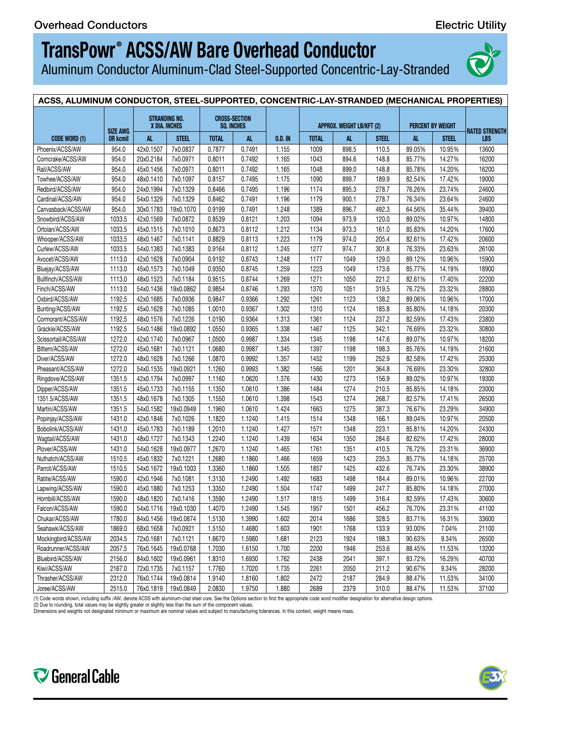Aluminum Conductor Aluminum-Clad Steel-Supported Concentric-Lay-Stranded



#### **ACSS, ALUMINUM CONDUCTOR, STEEL-SUPPORTED, CONCENTRIC-LAY-STRANDED (MECHANICAL PROPERTIES) ACSS, ALUMINUM CONDUCTOR, STEEL-SUPPORTED, CONCENTRIC-LAY-STRANDED (ELECTRICAL PROPERTIES) CODE WORD (1) SIZE AWG OR kcmil STRANDING NO. X DIA. INCHES CROSS-SECTION SQ. INCHES O.D. IN APPROX. WEIGHT LB/KFT (2) PERCENT BY WEIGHT RATED STRENGTH LBS CODE WORD (1)** AL | STEEL | TOTAL | AL | O.D.IN | TOTAL | AL | STEEL | AL | STEEL | LBS | Phoenix/ACSS/AW | 954.0 | 42x0.1507 | 7x0.0837 | 0.7877 | 0.7491 | 1.155 | 1009 | 898.5 | 110.5 | 89.05% | 10.95% | 13600 | Corncrake/ACSS/AW | 954.0 |20x0.2184 | /x0.09/1 | 0.8011 | 0.7492 | 1.165 | 1043 | 894.6 | 148.8 | 85.77% | 14.27% | 16200 | Rail/ACSS/AW 954.0 45x0.1456 7x0.0971 0.8011 0.7492 1.165 1048 899.0 148.8 85.78% 14.20% 16200 Rail/ACSS/AW 954.0 45x0.1456 7x0.0971 0.8011 0.7492 1.165 0.0173 0.0182 0.0225 0.0325 995 1140 1790 2020 0.0382 0.0750 0.4739 Towhee/ACSS/AW | 954.0 | 48x0.1410 | 7x0.1097 | 0.8157 | 0.7495 | 1.175 | 1090 | 899.7 | 189.9 | 82.54% | 17.42% | 19000 | Redbird/ACSS/AW | 954.0 | 24x0.1994 | 7x0.1329 | 0.8466 | 0.7495 | 1.196 | 1174 | 895.3 | 278.7 | 76.26% | 23.74% | 24600 | Cardinal/ACSS/AW | 954.0 | 54x0.1329 | 7x0.1329 | 0.8462 | 0.7491 | 1.196 | 1179 | 900.1 | 278.7 | 76.34% | 23.64% | 24600 | Canvasback/ACSS/AW | 954.0 |30x0.1783 |19x0.1070 | 0.9199 | 0.7491 | 1.248 | 1389 | 896.7 | 492.3 | 64.56% | 35.44% | 39400 | Snowbird/ACSS/AW | 1033.5 | 42x0.1569 | /x0.0872 | 0.8539 | 0.8121 | 1.203 | 1094 | 973.9 | 120.0 | 89.02% | 10.97% | 14800 | Ortolan/ACSS/AW | 1033.5 | 45x0.1515 | 7x0.1010 | 0.8673 | 0.8112 | 1.212 | 1134 | 973.3 | 161.0 | 85.83% | 14.20% | 17600 | Whooper/ACSS/AW | 1033.5 | 48x0.1467 | 7x0.1141 | 0.8829 | 0.8113 | 1.223 | 1179 | 974.0 | 205.4 | 82.61% | 17.42% | 20600 | Curlew/ACSS/AW | 1033.5 | 54x0.1383 | 7x0.1383 | 0.9164 | 0.8112 | 1.245 | 1277 | 974.7 | 301.8 | 76.33% | 23.63% | 26100 | Avocet/ACSS/AW | 1113.0 | 42x0.1628 | /x0.0904 | 0.9192 | 0.8743 | 1.248 | 1177 | 1049 | 129.0 | 89.12% | 10.96% | 15900 | Bluejay/ACSS/AW | 1113.0 | 45x0.15/3 | /x0.1049 | 0.9350 | 0.8745 | 1.259 | 1223 | 1049 | 173.6 | 85.77% | 14.19% | 18900 | Bullfinch/ACSS/AW | 1113.0 | 48x0.1523 | 7x0.1184 | 0.9515 | 0.8744 | 1.269 | 1271 | 1050 | 221.2 | 82.61% | 17.40% | 22200 | Finch/ACSS/AW | 1113.0 | 54x0.1436 | 19x0.0862 | 0.9854 | 0.8746 | 1.293 | 1370 | 1051 | 319.5 | 76.72% | 23.32% | 28800 | Oxbird/ACSS/AW | 1192.5 | 42x0.1685 | 7x0.0936 | 0.9847 | 0.9366 | 1.292 | 1261 | 1123 | 138.2 | 89.06% | 10.96% | 17000 | Bunting/ACSS/AW | 1192.5 | 45x0.1628 | 7x0.1085 | 1.0010 | 0.9367 | 1.302 | 1310 | 1124 | 185.8 | 85.80% | 14.18% | 20300 | Cormorant/ACSS/AW | 1192.5 | 48x0.15/6 | /x0.1226 | 1.0190 | 0.9364 | 1.313 | 1361 | 1124 | 237.2 | 82.59% | 17.43% | 23800 | Grackle/ACSS/AW | 1192.5 | 54x0.1486 | 19x0.0892 | 1.0550 | 0.9365 | 1.338 | 1467 | 1125 | 342.1 | 76.69% | 23.32% | 30800 | Scissortail/ACSS/AW | 1272.0 | 42x0.1740 | 7x0.0967 | 1.0500 | 0.9987 | 1.334 | 1345 | 1198 | 147.6 | 89.07% | 10.97% | 18200 | Bittern/ACSS/AW | 1272.0 |45x0.1681 | 7x0.1121 | 1.0680 | 0.9987 | 1.345 | 1397 | 1198 | 198.3 | 85.76% | 14.19% | 21600 | Diver/ACSS/AW | 12/2.0 |48x0.1628 | /x0.1266 | 1.08/0 | 0.9992 | 1.35/ | 1452 | 1199 | 252.9 | 82.58% | 1/.42% | 25300 | Pheasant/ACSS/AW | 1272.0 | 54x0.1535 | 19x0.0921 | 1.1260 | 0.9993 | 1.382 | 1566 | 1201 | 364.8 | 76.69% | 23.30% | 32800 | Ringdove/ACSS/AW | 1351.5 | 42x0.1794 | 7x0.0997 | 1.1160 | 1.0620 | 1.376 | 1430 | 1273 | 156.9 | 89.02% | 10.97% | 19300 | Dipper/ACSS/AW | 1351.5 | 45x0.1733 | 7x0.1155 | 1.1350 | 1.0610 | 1.386 | 1484 | 1274 | 210.5 | 85.85% | 14.18% | 23000 | 1351.5/ACSS/AW | 1351.5 | 48x0.1678 | 7x0.1305 | 1.1550 | 1.0610 | 1.398 | 1543 | 1274 | 268.7 | 82.57% | 17.41% | 26500 | Martin/ACSS/AW | 1351.5 | 54x0.1582 | 19x0.0949 | 1.1960 | 1.0610 | 1.424 | 1663 | 1275 | 387.3 | 76.67% | 23.29% | 34900 | Popinjay/ACSS/AW | 1431.0 | 42x0.1846 | /x0.1026 | 1.1820 | 1.1240 | 1.415 | 1514 | 1348 | 166.1 | 89.04% | 10.97% | 20500 | Bobolink/ACSS/AW | 1431.0 | 45x0.1783 | 7x0.1189 | 1.2010 | 1.1240 | 1.427 | 1571 | 1348 | 223.1 | 85.81% | 14.20% | 24300 | Wagtail/ACSS/AW | 1431.0 | 48x0.1727 | 7x0.1343 | 1.2240 | 1.1240 | 1.439 | 1634 | 1350 | 284.6 | 82.62% | 17.42% | 28000 | Plover/ACSS/AW | 1431.0 | 54x0.1628 | 19x0.0977 | 1.2670 | 1.1240 | 1.465 | 1761 | 1351 | 410.5 | 76.72% | 23.31% | 36900 | Nuthatch/ACSS/AW | 1510.5 | 45x0.1832 | 7x0.1221 | 1.2680 | 1.1860 | 1.466 | 1659 | 1423 | 235.3 | 85.77% | 14.18% | 25700 | Parrot/ACSS/AW | 1510.5 | 54x0.16/2 | 19x0.1003 | 1.3360 | 1.1860 | 1.505 | 1857 | 1425 | 432.6 | 76.74% | 23.30% | 38900 | Ratite/ACSS/AW | 1590.0 | 42x0.1946 | 7x0.1081 | 1.3130 | 1.2490 | 1.492 | 1683 | 1498 | 184.4 | 89.01% | 10.96% | 22700 | Lapwing/ACSS/AW | 1590.0 |45x0.1880 | 7x0.1253 | 1.3350 | 1.2490 | 1.504 | 1747 | 1499 | 247.7 | 85.80% | 14.18% | 27000 | Hornbill/ACSS/AW | 1590.0 | 48x0.1820 | 7x0.1416 | 1.3590 | 1.2490 | 1.517 | 1815 | 1499 | 316.4 | 82.59% | 17.43% | 30600 | Falcon/ACSS/AW | 1590.0 | 54x0.1/16 | 19x0.1030 | 1.40/0 | 1.2490 | 1.545 | 1957 | 1501 | 456.2 | 76.70% | 23.31% | 41100 | Chukar/ACSS/AW | 1/80.0 | 84x0.1456 | 19x0.08/4 | 1.5130 | 1.3990 | 1.602 | 2014 | 1686 | 328.5 | 83.71% | 16.31% | 33600 | Seahawk/ACSS/AW | 1869.0 | 68x0.1658 | 7x0.0921 | 1.5150 | 1.4680 | 1.603 | 1901 | 1768 | 133.9 | 93.00% | 7.04% | 21100 | Mockingbird/ACSS/AW | 2034.5 | 72x0.1681 | 7x0.1121 | 1.6670 | 1.5980 | 1.681 | 2123 | 1924 | 198.3 | 90.63% | 9.34% | 26500 | Roadrunner/ACSS/AW | 2057.5 | 76x0.1645 | 19x0.0768 | 1.7030 | 1.6150 | 1.700 | 2200 | 1946 | 253.6 | 88.45% | 11.53% | 13200 | Bluebird/ACSS/AW | 2156.0 | 84x0.1602 | 19x0.0961 | 1.8310 | 1.6930 | 1.762 | 2438 | 2041 | 397.1 | 83.72% | 16.29% | 40700 | Kiwi/ACSS/AW | 2167.0 | /2x0.1735 | /x0.115/ | 1.7/60 | 1.7020 | 1.735 | 2261 | 2050 | 211.2 | 90.67% | 9.34% | 28200 | Thrasher/ACSS/AW | 2312.0 | 76x0.1744 | 19x0.0814 | 1.9140 | 1.8160 | 1.802 | 2472 | 2187 | 284.9 | 88.47% | 11.53% | 34100 | Joree/ACSS/AW | 2515.0 | 76x0.1819 | 19x0.0849 | 2.0830 | 1.9750 | 1.880 | 2689 | 2379 | 310.0 | 88.47% | 11.53% | 37100 |

(1) Code words shown, including suffix /AW, denote ACSS with aluminum-clad steel core. See the Options section to find the appropriate code word modifier designation for alternative design options

(2) Due to rounding, total values may be slightly greater or slightly less than the sum of the component values Dimensions and weights not designated minimum or maximum are nominal values and subject to manufacturing tolerances. In this context, weight means mass.